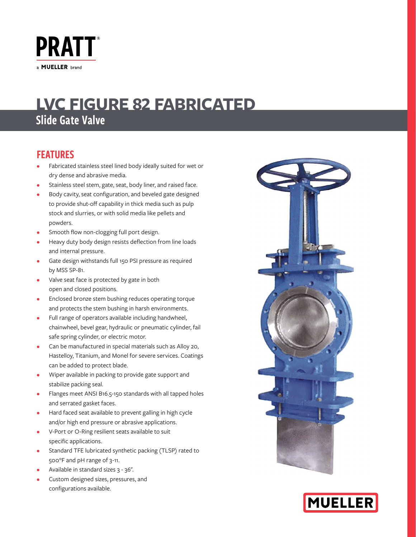

# Slide Gate Valve **LVC FIGURE 82 FABRICATED**

## FEATURES

- Fabricated stainless steel lined body ideally suited for wet or dry dense and abrasive media.
- Stainless steel stem, gate, seat, body liner, and raised face.
- Body cavity, seat configuration, and beveled gate designed to provide shut-off capability in thick media such as pulp stock and slurries, or with solid media like pellets and powders.
- Smooth flow non-clogging full port design.
- Heavy duty body design resists deflection from line loads and internal pressure.
- Gate design withstands full 150 PSI pressure as required by MSS SP-81.
- Valve seat face is protected by gate in both open and closed positions.
- Enclosed bronze stem bushing reduces operating torque and protects the stem bushing in harsh environments.
- Full range of operators available including handwheel, chainwheel, bevel gear, hydraulic or pneumatic cylinder, fail safe spring cylinder, or electric motor.
- Can be manufactured in special materials such as Alloy 20, Hastelloy, Titanium, and Monel for severe services. Coatings can be added to protect blade.
- Wiper available in packing to provide gate support and stabilize packing seal.
- Flanges meet ANSI B16.5-150 standards with all tapped holes and serrated gasket faces.
- Hard faced seat available to prevent galling in high cycle and/or high end pressure or abrasive applications.
- V-Port or O-Ring resilient seats available to suit specific applications.
- Standard TFE lubricated synthetic packing (TLSP) rated to 500°F and pH range of 3-11.
- Available in standard sizes 3 36".
- Custom designed sizes, pressures, and configurations available.